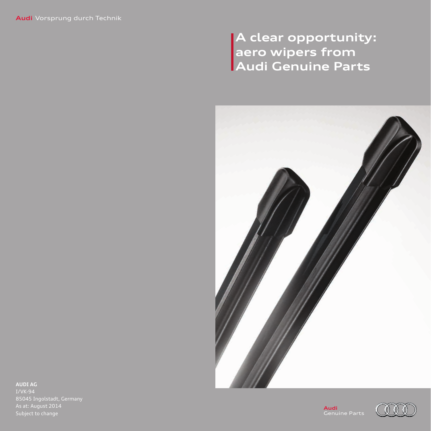# **A clear opportunity: aero wipers from Audi Genuine Parts**



**AUDI AG** I/VK-94 As at: August 2014